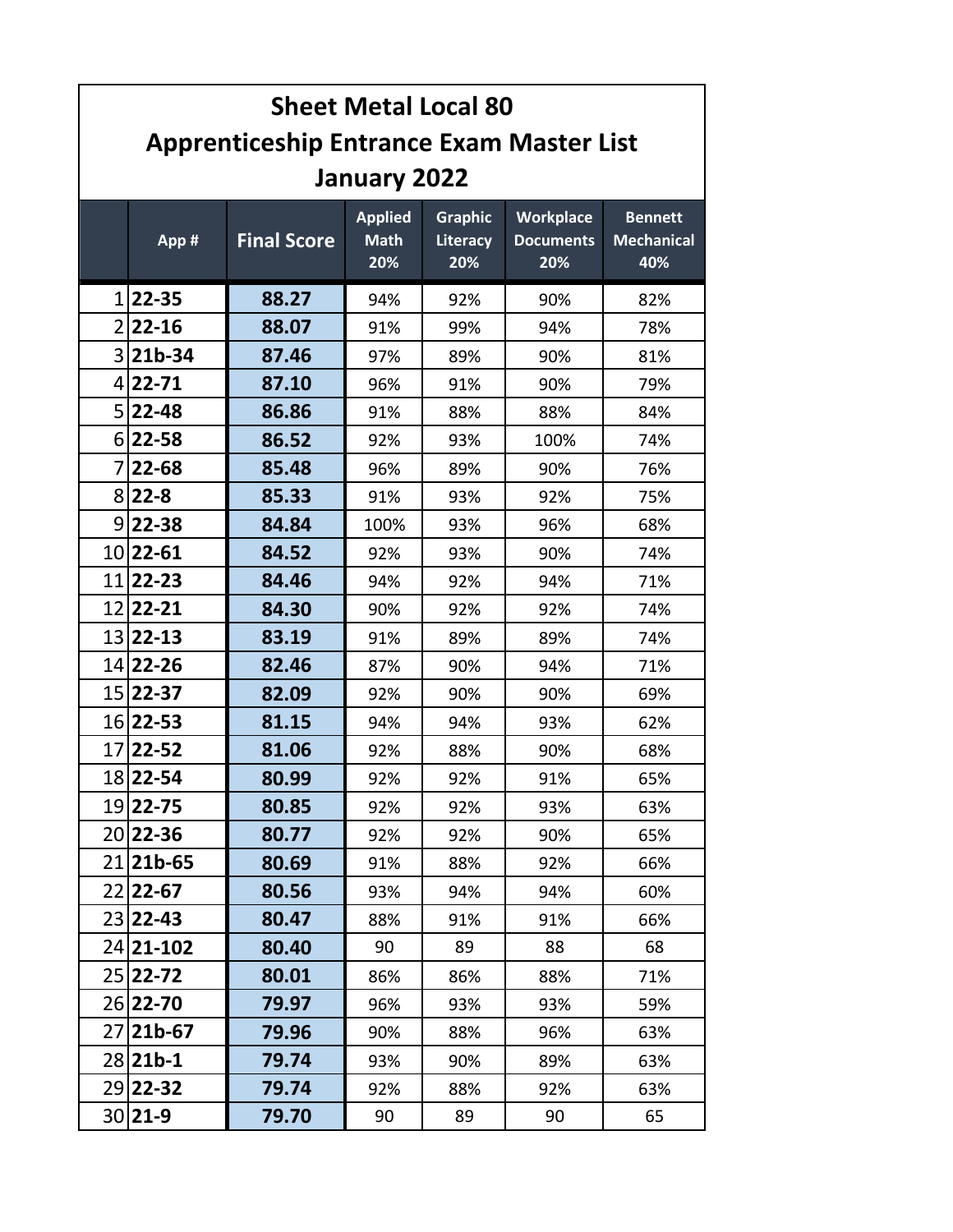|                | <b>Sheet Metal Local 80</b>                     |                    |                                      |                                   |                                             |                                            |  |
|----------------|-------------------------------------------------|--------------------|--------------------------------------|-----------------------------------|---------------------------------------------|--------------------------------------------|--|
|                | <b>Apprenticeship Entrance Exam Master List</b> |                    |                                      |                                   |                                             |                                            |  |
|                | January 2022                                    |                    |                                      |                                   |                                             |                                            |  |
|                | App #                                           | <b>Final Score</b> | <b>Applied</b><br><b>Math</b><br>20% | <b>Graphic</b><br>Literacy<br>20% | <b>Workplace</b><br><b>Documents</b><br>20% | <b>Bennett</b><br><b>Mechanical</b><br>40% |  |
| $1\vert$       | 22-35                                           | 88.27              | 94%                                  | 92%                               | 90%                                         | 82%                                        |  |
|                | $2 22-16$                                       | 88.07              | 91%                                  | 99%                               | 94%                                         | 78%                                        |  |
|                | $3 21b-34$                                      | 87.46              | 97%                                  | 89%                               | 90%                                         | 81%                                        |  |
|                | $4 22-71$                                       | 87.10              | 96%                                  | 91%                               | 90%                                         | 79%                                        |  |
|                | $5 22-48$                                       | 86.86              | 91%                                  | 88%                               | 88%                                         | 84%                                        |  |
|                | $6 22-58$                                       | 86.52              | 92%                                  | 93%                               | 100%                                        | 74%                                        |  |
| $\overline{7}$ | 22-68                                           | 85.48              | 96%                                  | 89%                               | 90%                                         | 76%                                        |  |
|                | $8 22-8$                                        | 85.33              | 91%                                  | 93%                               | 92%                                         | 75%                                        |  |
|                | $9 22-38$                                       | 84.84              | 100%                                 | 93%                               | 96%                                         | 68%                                        |  |
|                | 10 22 - 61                                      | 84.52              | 92%                                  | 93%                               | 90%                                         | 74%                                        |  |
| 11             | $22 - 23$                                       | 84.46              | 94%                                  | 92%                               | 94%                                         | 71%                                        |  |
|                | 12 22 - 21                                      | 84.30              | 90%                                  | 92%                               | 92%                                         | 74%                                        |  |
|                | 13 22 - 13                                      | 83.19              | 91%                                  | 89%                               | 89%                                         | 74%                                        |  |
|                | 14 22 - 26                                      | 82.46              | 87%                                  | 90%                               | 94%                                         | 71%                                        |  |
|                | 15 22 - 37                                      | 82.09              | 92%                                  | 90%                               | 90%                                         | 69%                                        |  |
|                | 16 22 - 53                                      | 81.15              | 94%                                  | 94%                               | 93%                                         | 62%                                        |  |
|                | 17 22 - 52                                      | 81.06              | 92%                                  | 88%                               | 90%                                         | 68%                                        |  |
|                | 18 22 - 54                                      | 80.99              | 92%                                  | 92%                               | 91%                                         | 65%                                        |  |
|                | 19 22 - 75                                      | 80.85              | 92%                                  | 92%                               | 93%                                         | 63%                                        |  |
|                | 20 22 - 36                                      | 80.77              | 92%                                  | 92%                               | 90%                                         | 65%                                        |  |
|                | 21 21 b-65                                      | 80.69              | 91%                                  | 88%                               | 92%                                         | 66%                                        |  |
|                | 22 22-67                                        | 80.56              | 93%                                  | 94%                               | 94%                                         | 60%                                        |  |
|                | 23 22 - 43                                      | 80.47              | 88%                                  | 91%                               | 91%                                         | 66%                                        |  |
|                | 24 21 - 102                                     | 80.40              | 90                                   | 89                                | 88                                          | 68                                         |  |
|                | 25 22 - 72                                      | 80.01              | 86%                                  | 86%                               | 88%                                         | 71%                                        |  |
|                | 26 22 - 70                                      | 79.97              | 96%                                  | 93%                               | 93%                                         | 59%                                        |  |
|                | 27 <b>21b-67</b>                                | 79.96              | 90%                                  | 88%                               | 96%                                         | 63%                                        |  |
|                | 28 <b>21b-1</b>                                 | 79.74              | 93%                                  | 90%                               | 89%                                         | 63%                                        |  |
|                | 29 22 - 32                                      | 79.74              | 92%                                  | 88%                               | 92%                                         | 63%                                        |  |
|                | $30 21-9$                                       | 79.70              | 90                                   | 89                                | 90                                          | 65                                         |  |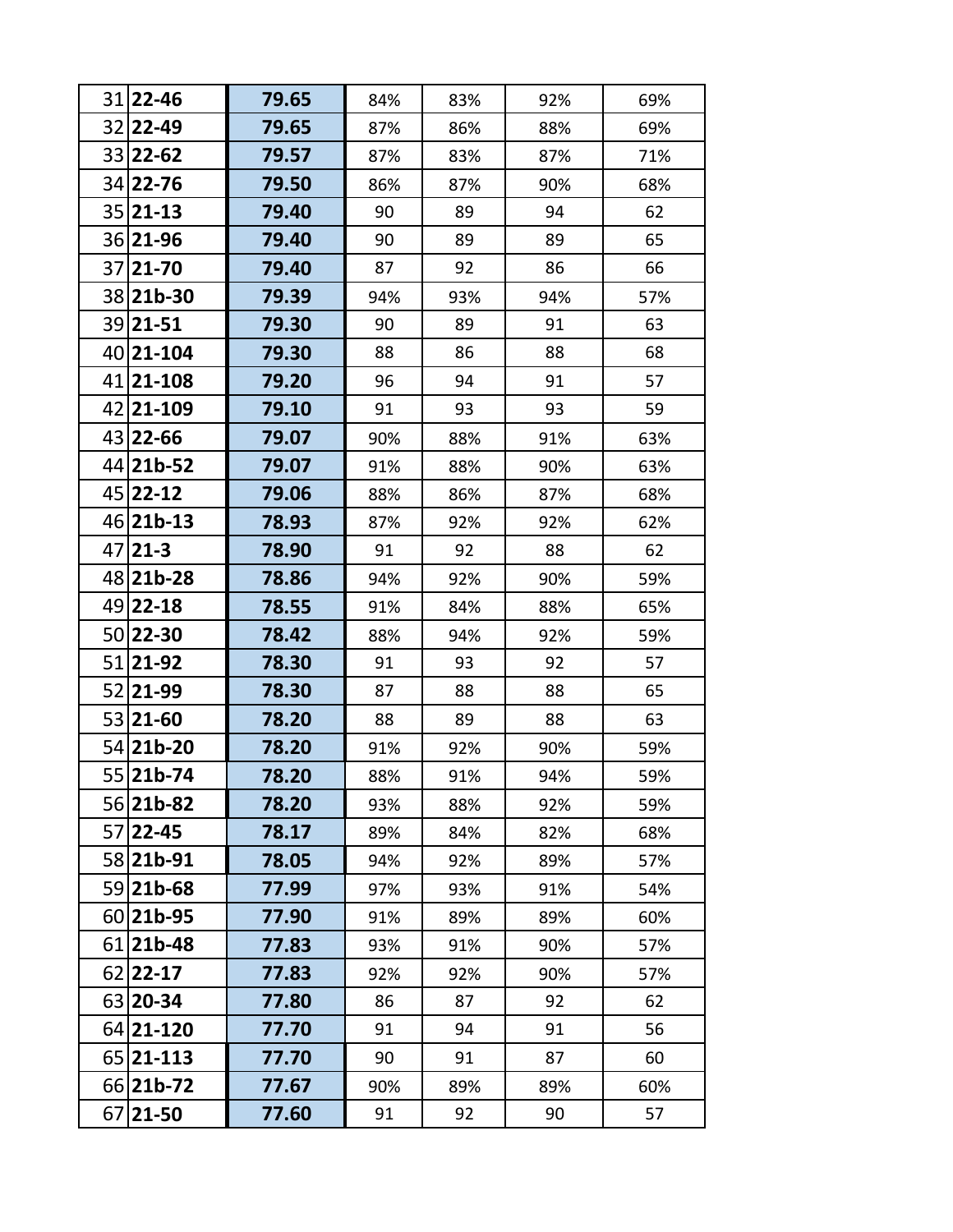|    | 31 22 - 46       | 79.65 | 84% | 83% | 92% | 69% |
|----|------------------|-------|-----|-----|-----|-----|
|    | 32 22-49         | 79.65 | 87% | 86% | 88% | 69% |
|    | 33 22 - 62       | 79.57 | 87% | 83% | 87% | 71% |
|    | 34 22 - 76       | 79.50 | 86% | 87% | 90% | 68% |
|    | 35 21 - 13       | 79.40 | 90  | 89  | 94  | 62  |
|    | 36 21 - 96       | 79.40 | 90  | 89  | 89  | 65  |
|    | 37 21 - 70       | 79.40 | 87  | 92  | 86  | 66  |
|    | 38 21b-30        | 79.39 | 94% | 93% | 94% | 57% |
|    | 39 21 - 51       | 79.30 | 90  | 89  | 91  | 63  |
|    | 40 21 - 104      | 79.30 | 88  | 86  | 88  | 68  |
|    | 41 21 - 108      | 79.20 | 96  | 94  | 91  | 57  |
|    | 42 21 - 109      | 79.10 | 91  | 93  | 93  | 59  |
|    | 43 22 - 66       | 79.07 | 90% | 88% | 91% | 63% |
|    | 44 21b-52        | 79.07 | 91% | 88% | 90% | 63% |
|    | 45 22 - 12       | 79.06 | 88% | 86% | 87% | 68% |
|    | 46 21b-13        | 78.93 | 87% | 92% | 92% | 62% |
| 47 | $21-3$           | 78.90 | 91  | 92  | 88  | 62  |
|    | 48 <b>21b-28</b> | 78.86 | 94% | 92% | 90% | 59% |
|    | 49 22 - 18       | 78.55 | 91% | 84% | 88% | 65% |
|    | 50 22 - 30       | 78.42 | 88% | 94% | 92% | 59% |
|    | 51 21 - 92       | 78.30 | 91  | 93  | 92  | 57  |
|    | 52 21 - 99       | 78.30 | 87  | 88  | 88  | 65  |
|    | 53 21 - 60       | 78.20 | 88  | 89  | 88  | 63  |
|    | 54 21b-20        | 78.20 | 91% | 92% | 90% | 59% |
|    | 55 21b-74        | 78.20 | 88% | 91% | 94% | 59% |
|    | 56 21b-82        | 78.20 | 93% | 88% | 92% | 59% |
|    | 57 22 - 45       | 78.17 | 89% | 84% | 82% | 68% |
|    | 58 21b-91        | 78.05 | 94% | 92% | 89% | 57% |
|    | 59 21b-68        | 77.99 | 97% | 93% | 91% | 54% |
|    | 60 21b-95        | 77.90 | 91% | 89% | 89% | 60% |
|    | 61 21b-48        | 77.83 | 93% | 91% | 90% | 57% |
|    | 62 22 - 17       | 77.83 | 92% | 92% | 90% | 57% |
|    | 63 20 - 34       | 77.80 | 86  | 87  | 92  | 62  |
|    | 64 21-120        | 77.70 | 91  | 94  | 91  | 56  |
|    | 65 21 - 113      | 77.70 | 90  | 91  | 87  | 60  |
|    | 66 21b-72        | 77.67 | 90% | 89% | 89% | 60% |
|    | 67 21 - 50       | 77.60 | 91  | 92  | 90  | 57  |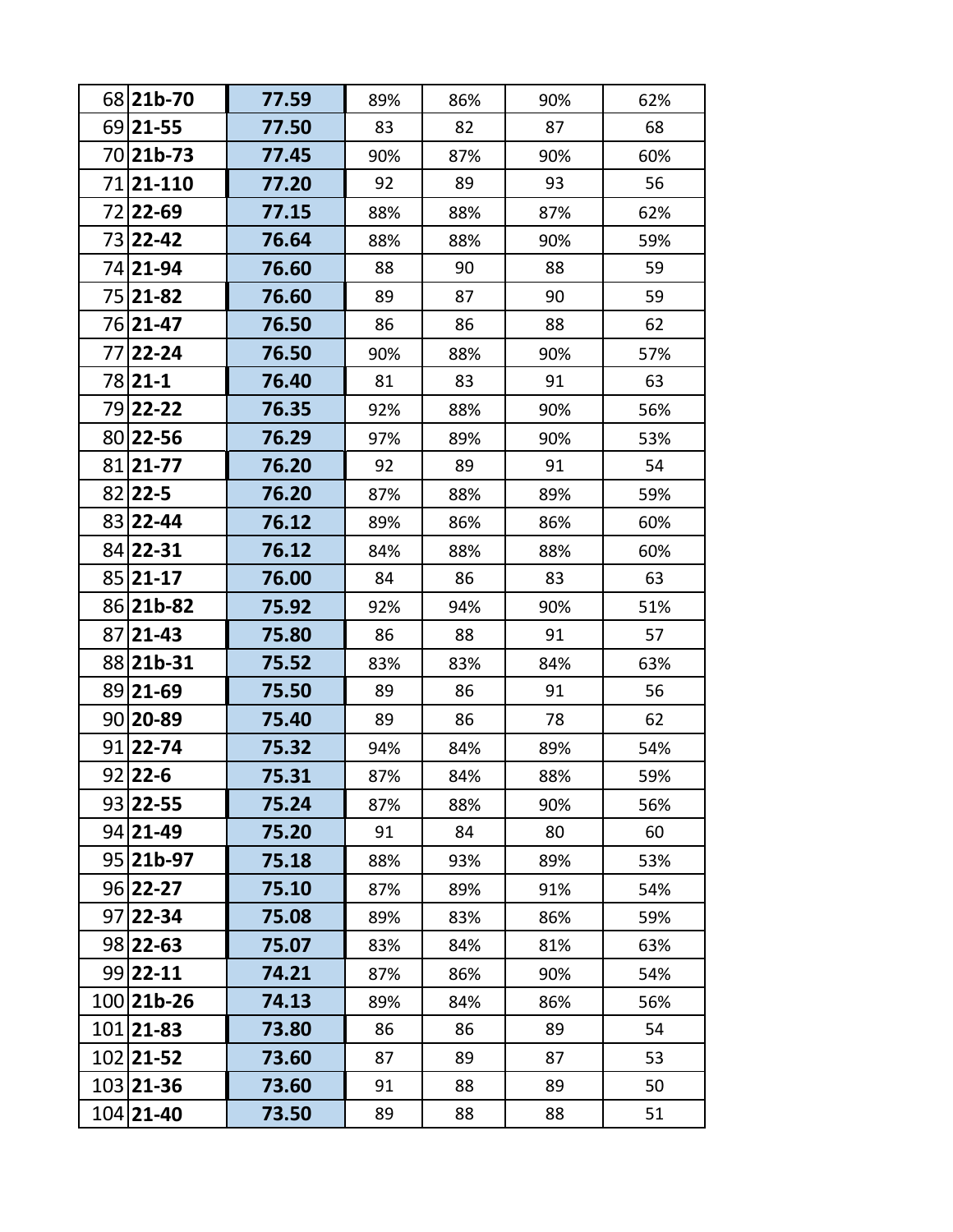|     | 68 21b-70        | 77.59 | 89% | 86% | 90% | 62% |
|-----|------------------|-------|-----|-----|-----|-----|
|     | 69 21 - 55       | 77.50 | 83  | 82  | 87  | 68  |
|     | 70 <b>21b-73</b> | 77.45 | 90% | 87% | 90% | 60% |
| 71  | 21-110           | 77.20 | 92  | 89  | 93  | 56  |
| 72  | 22-69            | 77.15 | 88% | 88% | 87% | 62% |
|     | 73 22 - 42       | 76.64 | 88% | 88% | 90% | 59% |
|     | 74 21 - 94       | 76.60 | 88  | 90  | 88  | 59  |
|     | 75 21 - 82       | 76.60 | 89  | 87  | 90  | 59  |
|     | 76 21 - 47       | 76.50 | 86  | 86  | 88  | 62  |
|     | 77 22 - 24       | 76.50 | 90% | 88% | 90% | 57% |
|     | 78 21 - 1        | 76.40 | 81  | 83  | 91  | 63  |
|     | 79 22 - 22       | 76.35 | 92% | 88% | 90% | 56% |
|     | 80 22 - 56       | 76.29 | 97% | 89% | 90% | 53% |
|     | 81 21 - 77       | 76.20 | 92  | 89  | 91  | 54  |
| 821 | $22 - 5$         | 76.20 | 87% | 88% | 89% | 59% |
| 831 | $22 - 44$        | 76.12 | 89% | 86% | 86% | 60% |
|     | 84 22 - 31       | 76.12 | 84% | 88% | 88% | 60% |
|     | 85 21 - 17       | 76.00 | 84  | 86  | 83  | 63  |
|     | 86 21b-82        | 75.92 | 92% | 94% | 90% | 51% |
| 87  | $21 - 43$        | 75.80 | 86  | 88  | 91  | 57  |
| 881 | $21b-31$         | 75.52 | 83% | 83% | 84% | 63% |
|     | 89 21 - 69       | 75.50 | 89  | 86  | 91  | 56  |
|     | 90 20 - 89       | 75.40 | 89  | 86  | 78  | 62  |
|     | 91 22-74         | 75.32 | 94% | 84% | 89% | 54% |
|     | 92 22-6          | 75.31 | 87% | 84% | 88% | 59% |
|     | 93 22 - 55       | 75.24 | 87% | 88% | 90% | 56% |
|     | 94 21 - 49       | 75.20 | 91  | 84  | 80  | 60  |
|     | 95 21b-97        | 75.18 | 88% | 93% | 89% | 53% |
|     | 96 22 - 27       | 75.10 | 87% | 89% | 91% | 54% |
|     | 97 22 - 34       | 75.08 | 89% | 83% | 86% | 59% |
|     | 98 22 - 63       | 75.07 | 83% | 84% | 81% | 63% |
|     | 99 22 - 11       | 74.21 | 87% | 86% | 90% | 54% |
|     | 100 21b-26       | 74.13 | 89% | 84% | 86% | 56% |
|     | 101 21 - 83      | 73.80 | 86  | 86  | 89  | 54  |
|     | 102 21 - 52      | 73.60 | 87  | 89  | 87  | 53  |
|     | 103 21 - 36      | 73.60 | 91  | 88  | 89  | 50  |
|     | 104 21-40        | 73.50 | 89  | 88  | 88  | 51  |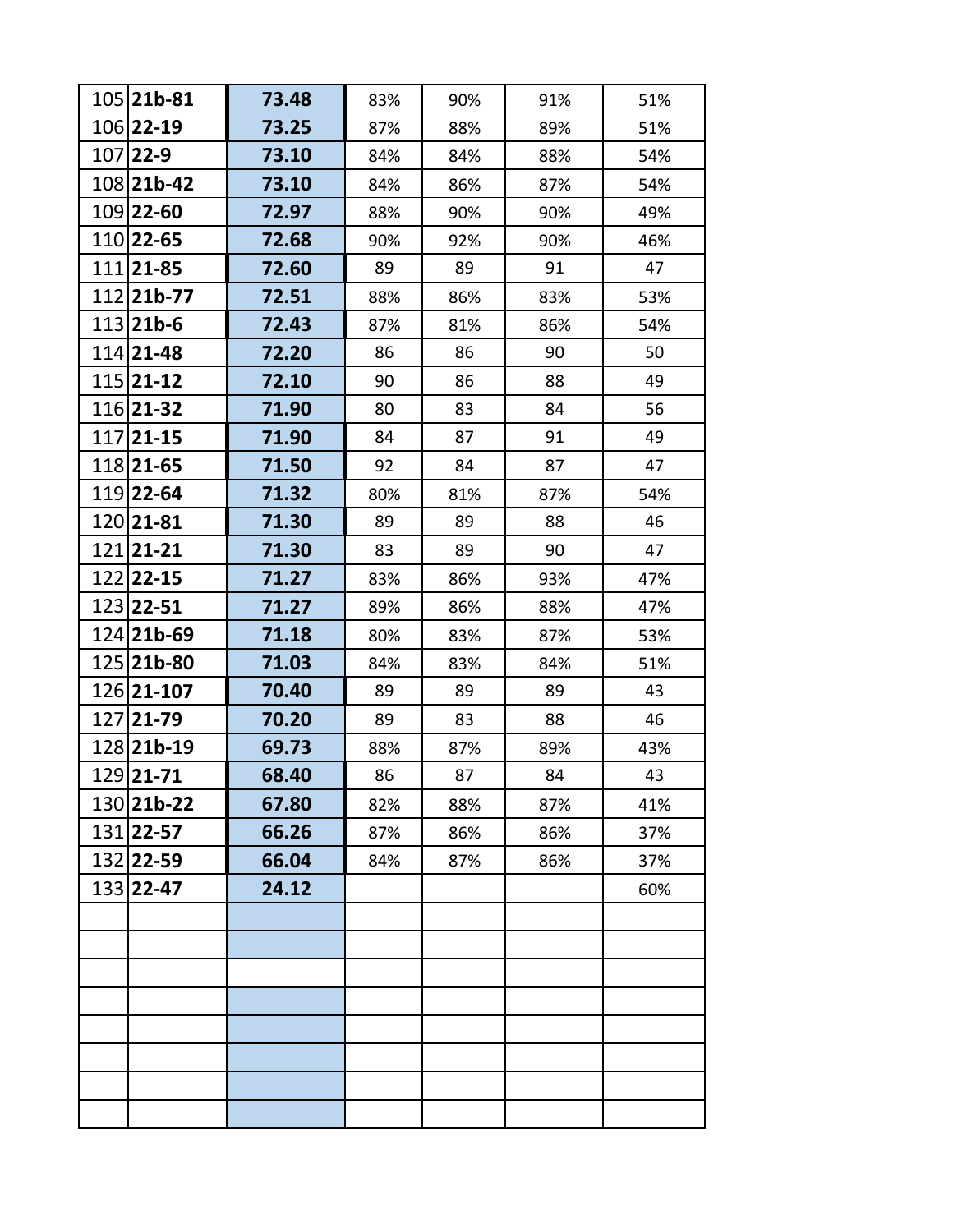| 105 21b-81       | 73.48 | 83% | 90% | 91% | 51% |
|------------------|-------|-----|-----|-----|-----|
| 106 22-19        | 73.25 | 87% | 88% | 89% | 51% |
| 107 22-9         | 73.10 | 84% | 84% | 88% | 54% |
| 108 21b-42       | 73.10 | 84% | 86% | 87% | 54% |
| 109 22-60        | 72.97 | 88% | 90% | 90% | 49% |
| 110 22-65        | 72.68 | 90% | 92% | 90% | 46% |
| 111 21 - 85      | 72.60 | 89  | 89  | 91  | 47  |
| 112 21b-77       | 72.51 | 88% | 86% | 83% | 53% |
| 113 <b>21b-6</b> | 72.43 | 87% | 81% | 86% | 54% |
| 114 21 - 48      | 72.20 | 86  | 86  | 90  | 50  |
| 115 21 - 12      | 72.10 | 90  | 86  | 88  | 49  |
| 116 21 - 32      | 71.90 | 80  | 83  | 84  | 56  |
| 117 21 - 15      | 71.90 | 84  | 87  | 91  | 49  |
| 118 21 - 65      | 71.50 | 92  | 84  | 87  | 47  |
| 119 22-64        | 71.32 | 80% | 81% | 87% | 54% |
| 120 21 - 81      | 71.30 | 89  | 89  | 88  | 46  |
| 121 21 - 21      | 71.30 | 83  | 89  | 90  | 47  |
| 122 22 - 15      | 71.27 | 83% | 86% | 93% | 47% |
| 123 22 - 51      | 71.27 | 89% | 86% | 88% | 47% |
| 124 21b-69       | 71.18 | 80% | 83% | 87% | 53% |
| 125 21b-80       | 71.03 | 84% | 83% | 84% | 51% |
| 126 21-107       | 70.40 | 89  | 89  | 89  | 43  |
| 127 21 - 79      | 70.20 | 89  | 83  | 88  | 46  |
| 128 21b-19       | 69.73 | 88% | 87% | 89% | 43% |
| 129 21-71        | 68.40 | 86  | 87  | 84  | 43  |
| 130 21b-22       | 67.80 | 82% | 88% | 87% | 41% |
| 131 22-57        | 66.26 | 87% | 86% | 86% | 37% |
| 132 22-59        | 66.04 | 84% | 87% | 86% | 37% |
| 133 22-47        | 24.12 |     |     |     | 60% |
|                  |       |     |     |     |     |
|                  |       |     |     |     |     |
|                  |       |     |     |     |     |
|                  |       |     |     |     |     |
|                  |       |     |     |     |     |
|                  |       |     |     |     |     |
|                  |       |     |     |     |     |
|                  |       |     |     |     |     |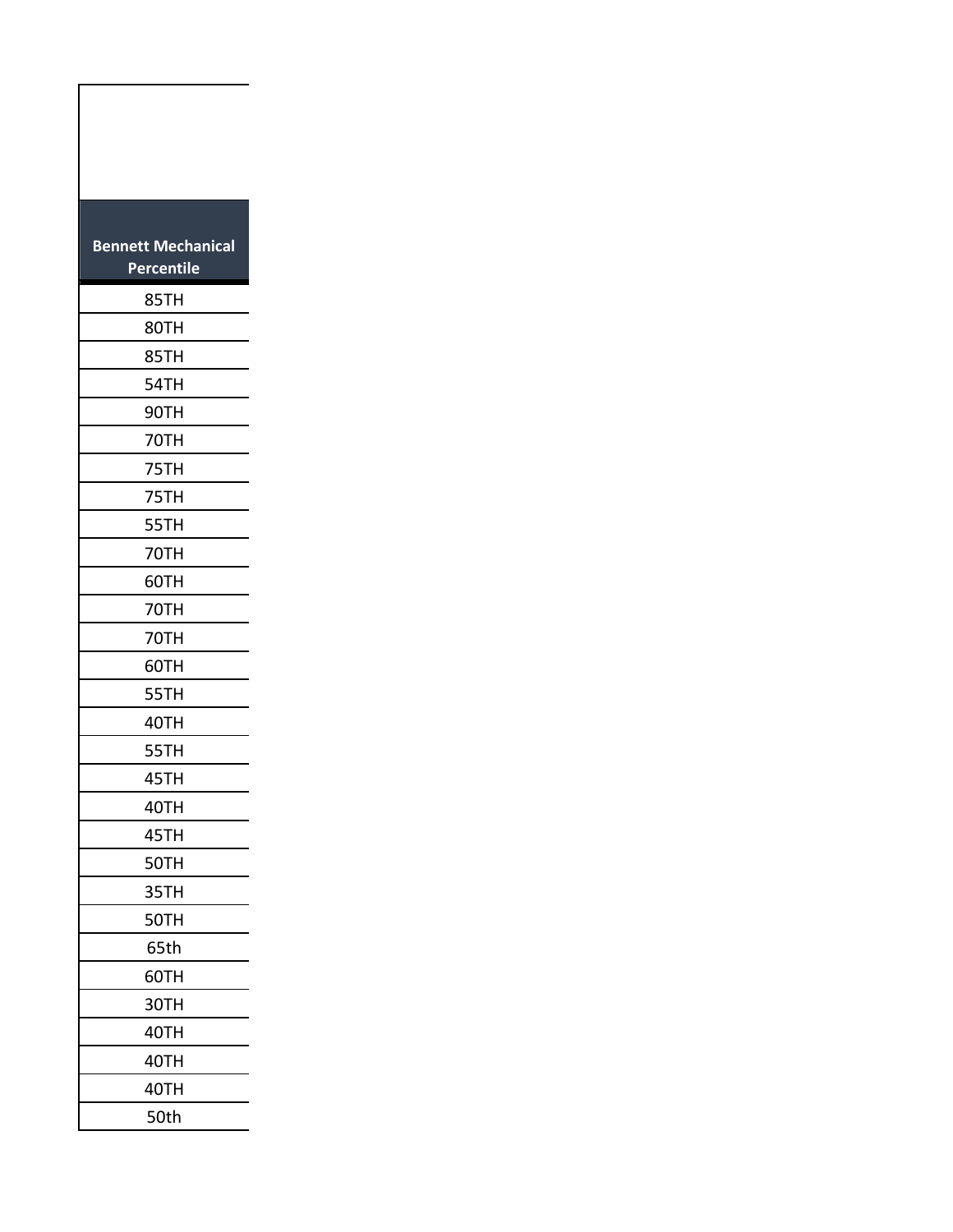| <b>Bennett Mechanical</b><br>Percentile |
|-----------------------------------------|
| 85TH                                    |
| 80TH                                    |
| 85TH                                    |
| 54TH                                    |
| 90TH                                    |
| 70TH                                    |
| 75TH                                    |
| 75TH                                    |
| 55TH                                    |
| 70TH                                    |
| 60TH                                    |
| 70TH                                    |
| 70TH                                    |
| 60TH                                    |
| 55TH                                    |
| 40TH                                    |
| 55TH                                    |
| 45TH                                    |
| 40TH                                    |
| 45TH                                    |
| 50TH                                    |
| 35TH                                    |
| 50TH                                    |
| 65th                                    |
| 60TH                                    |
| 30TH                                    |
| 40TH                                    |
| 40TH                                    |
| 40TH                                    |
| 50th                                    |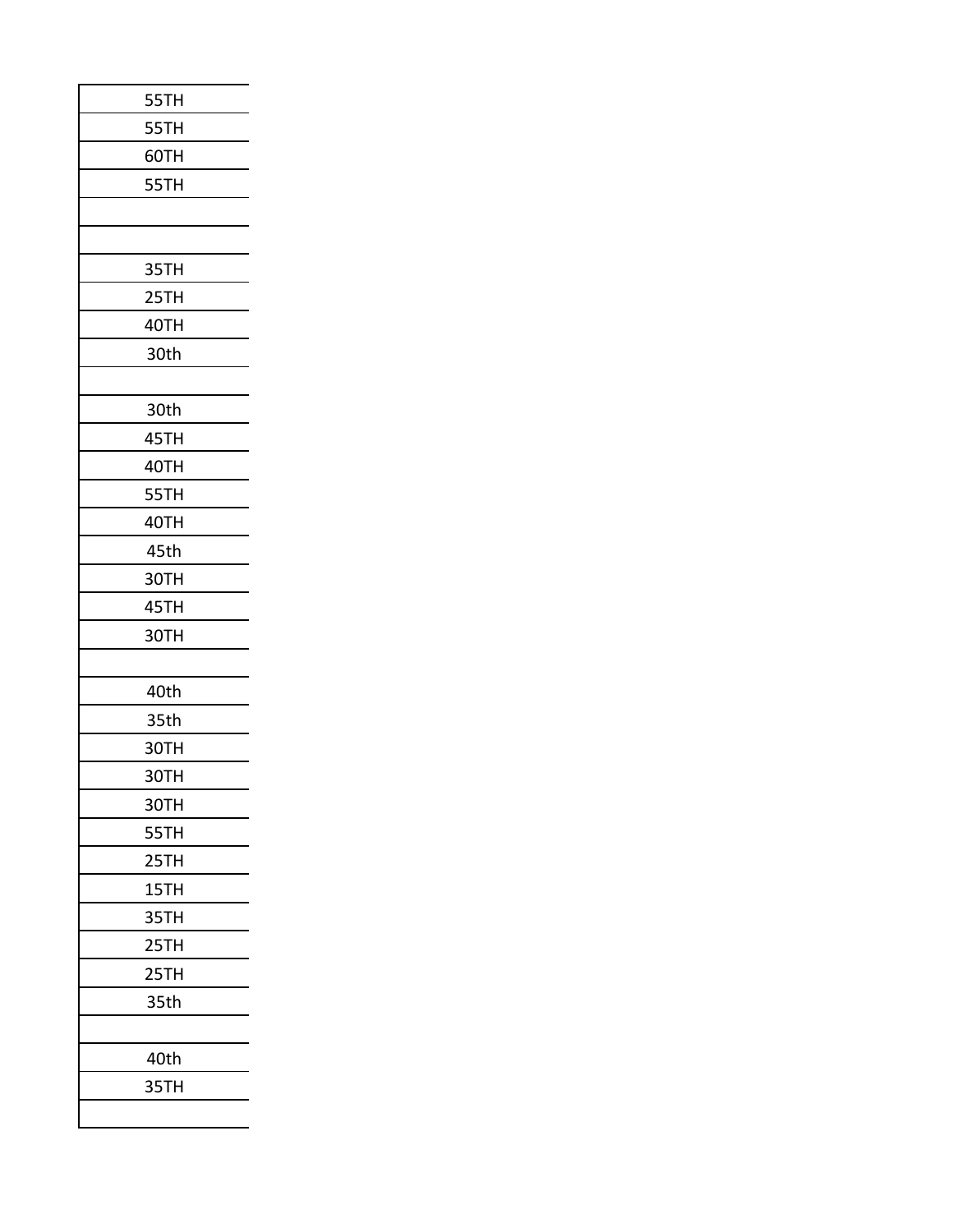| 55TH |
|------|
| 55TH |
| 60TH |
| 55TH |
|      |
|      |
| 35TH |
| 25TH |
| 40TH |
| 30th |
|      |
| 30th |
| 45TH |
| 40TH |
| 55TH |
| 40TH |
| 45th |
| 30TH |
| 45TH |
| 30TH |
|      |
| 40th |
| 35th |
| 30TH |
| 30TH |
| 30TH |
| 55TH |
| 25TH |
| 15TH |
| 35TH |
| 25TH |
| 25TH |
| 35th |
|      |
| 40th |
| 35TH |
|      |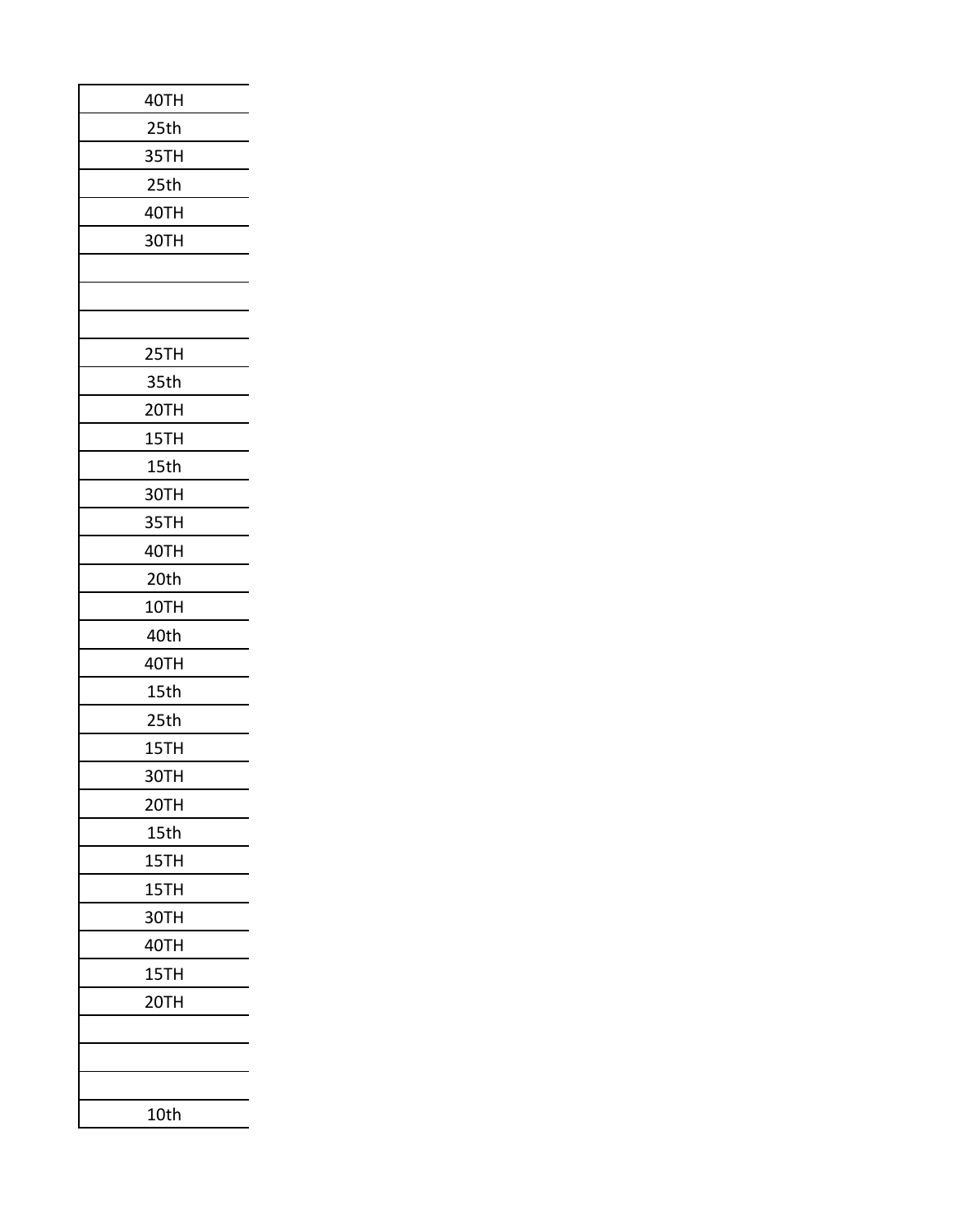| 40TH |
|------|
| 25th |
| 35TH |
| 25th |
| 40TH |
| 30TH |
|      |
|      |
|      |
| 25TH |
| 35th |
| 20TH |
| 15TH |
| 15th |
| 30TH |
| 35TH |
| 40TH |
| 20th |
| 10TH |
| 40th |
| 40TH |
| 15th |
| 25th |
| 15TH |
| зотн |
| 20TH |
| 15th |
| 15TH |
| 15TH |
| 30TH |
| 40TH |
| 15TH |
| 20TH |
|      |
|      |
|      |
| 10th |